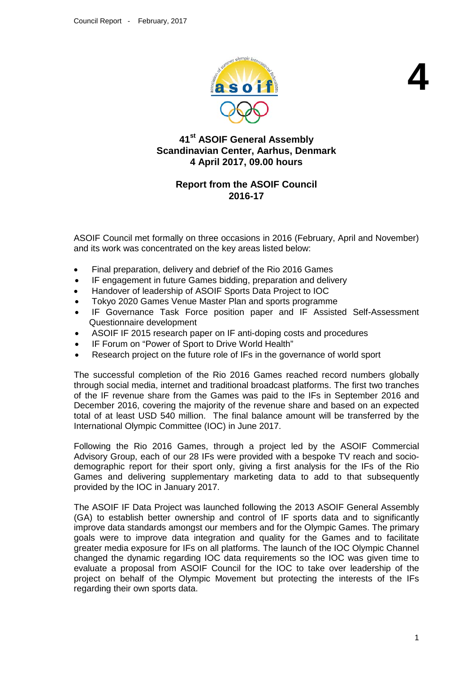

**4**

# **41st ASOIF General Assembly Scandinavian Center, Aarhus, Denmark 4 April 2017, 09.00 hours**

# **Report from the ASOIF Council 2016-17**

ASOIF Council met formally on three occasions in 2016 (February, April and November) and its work was concentrated on the key areas listed below:

- Final preparation, delivery and debrief of the Rio 2016 Games
- IF engagement in future Games bidding, preparation and delivery
- Handover of leadership of ASOIF Sports Data Project to IOC
- Tokyo 2020 Games Venue Master Plan and sports programme
- IF Governance Task Force position paper and IF Assisted Self-Assessment Questionnaire development
- ASOIF IF 2015 research paper on IF anti-doping costs and procedures
- IF Forum on "Power of Sport to Drive World Health"
- Research project on the future role of IFs in the governance of world sport

The successful completion of the Rio 2016 Games reached record numbers globally through social media, internet and traditional broadcast platforms. The first two tranches of the IF revenue share from the Games was paid to the IFs in September 2016 and December 2016, covering the majority of the revenue share and based on an expected total of at least USD 540 million. The final balance amount will be transferred by the International Olympic Committee (IOC) in June 2017.

Following the Rio 2016 Games, through a project led by the ASOIF Commercial Advisory Group, each of our 28 IFs were provided with a bespoke TV reach and sociodemographic report for their sport only, giving a first analysis for the IFs of the Rio Games and delivering supplementary marketing data to add to that subsequently provided by the IOC in January 2017.

The ASOIF IF Data Project was launched following the 2013 ASOIF General Assembly (GA) to establish better ownership and control of IF sports data and to significantly improve data standards amongst our members and for the Olympic Games. The primary goals were to improve data integration and quality for the Games and to facilitate greater media exposure for IFs on all platforms. The launch of the IOC Olympic Channel changed the dynamic regarding IOC data requirements so the IOC was given time to evaluate a proposal from ASOIF Council for the IOC to take over leadership of the project on behalf of the Olympic Movement but protecting the interests of the IFs regarding their own sports data.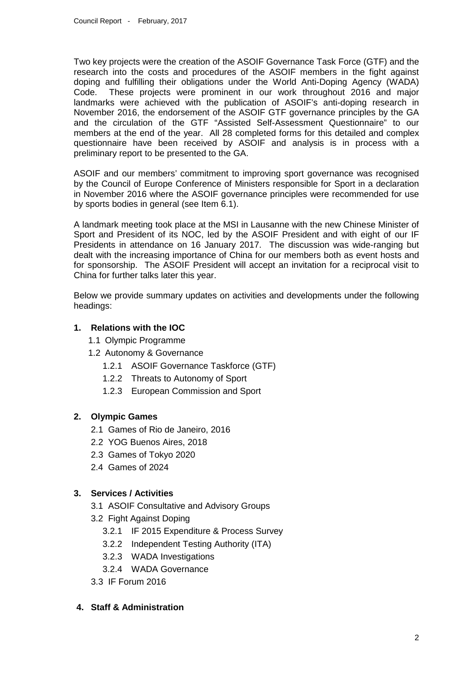Two key projects were the creation of the ASOIF Governance Task Force (GTF) and the research into the costs and procedures of the ASOIF members in the fight against doping and fulfilling their obligations under the World Anti-Doping Agency (WADA) Code. These projects were prominent in our work throughout 2016 and major landmarks were achieved with the publication of ASOIF's anti-doping research in November 2016, the endorsement of the ASOIF GTF governance principles by the GA and the circulation of the GTF "Assisted Self-Assessment Questionnaire" to our members at the end of the year. All 28 completed forms for this detailed and complex questionnaire have been received by ASOIF and analysis is in process with a preliminary report to be presented to the GA.

ASOIF and our members' commitment to improving sport governance was recognised by the Council of Europe Conference of Ministers responsible for Sport in a declaration in November 2016 where the ASOIF governance principles were recommended for use by sports bodies in general (see Item 6.1).

A landmark meeting took place at the MSI in Lausanne with the new Chinese Minister of Sport and President of its NOC, led by the ASOIF President and with eight of our IF Presidents in attendance on 16 January 2017. The discussion was wide-ranging but dealt with the increasing importance of China for our members both as event hosts and for sponsorship. The ASOIF President will accept an invitation for a reciprocal visit to China for further talks later this year.

Below we provide summary updates on activities and developments under the following headings:

### **1. Relations with the IOC**

- 1.1 Olympic Programme
- 1.2 Autonomy & Governance
	- 1.2.1 ASOIF Governance Taskforce (GTF)
	- 1.2.2 Threats to Autonomy of Sport
	- 1.2.3 European Commission and Sport

## **2. Olympic Games**

- 2.1 Games of Rio de Janeiro, 2016
- 2.2 YOG Buenos Aires, 2018
- 2.3 Games of Tokyo 2020
- 2.4 Games of 2024

#### **3. Services / Activities**

- 3.1 ASOIF Consultative and Advisory Groups
- 3.2 Fight Against Doping
	- 3.2.1 IF 2015 Expenditure & Process Survey
	- 3.2.2 Independent Testing Authority (ITA)
	- 3.2.3 WADA Investigations
	- 3.2.4 WADA Governance
- 3.3 IF Forum 2016

### **4. Staff & Administration**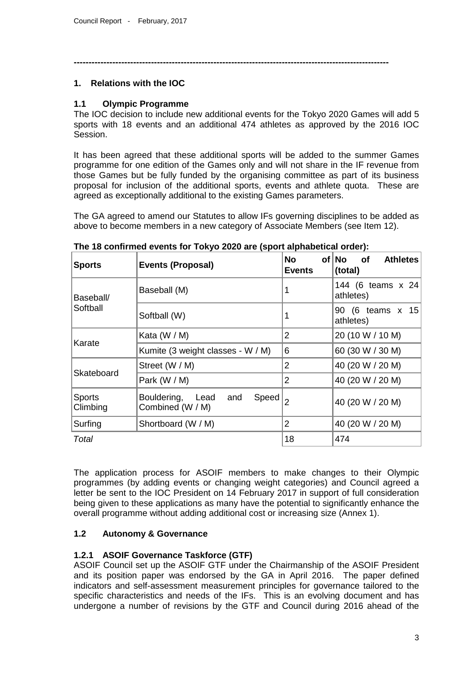**----------------------------------------------------------------------------------------------------------**

#### **1. Relations with the IOC**

### **1.1 Olympic Programme**

The IOC decision to include new additional events for the Tokyo 2020 Games will add 5 sports with 18 events and an additional 474 athletes as approved by the 2016 IOC Session.

It has been agreed that these additional sports will be added to the summer Games programme for one edition of the Games only and will not share in the IF revenue from those Games but be fully funded by the organising committee as part of its business proposal for inclusion of the additional sports, events and athlete quota. These are agreed as exceptionally additional to the existing Games parameters.

The GA agreed to amend our Statutes to allow IFs governing disciplines to be added as above to become members in a new category of Associate Members (see Item 12).

| <b>Sports</b>             | <b>Events (Proposal)</b>                             | No<br><b>Events</b> | of No<br><b>Athletes</b><br>of<br>(total) |
|---------------------------|------------------------------------------------------|---------------------|-------------------------------------------|
| Baseball/<br>Softball     | Baseball (M)                                         | 1                   | 144 (6 teams x 24<br>athletes)            |
|                           | Softball (W)                                         | 1                   | 90 (6 teams x 15<br>athletes)             |
| Karate                    | Kata $(W / M)$                                       | $\overline{2}$      | 20 (10 W / 10 M)                          |
|                           | Kumite (3 weight classes - W / M)                    | 6                   | 60 (30 W / 30 M)                          |
| Skateboard                | Street (W / M)                                       | $\overline{2}$      | 40 (20 W / 20 M)                          |
|                           | Park (W / M)                                         | $\overline{2}$      | 40 (20 W / 20 M)                          |
| <b>Sports</b><br>Climbing | Speed<br>Bouldering, Lead<br>and<br>Combined (W / M) | $\overline{2}$      | 40 (20 W / 20 M)                          |
| Surfing                   | Shortboard (W / M)                                   | 2                   | 40 (20 W / 20 M)                          |
| Total                     |                                                      | 18                  | 474                                       |

**The 18 confirmed events for Tokyo 2020 are (sport alphabetical order):**

The application process for ASOIF members to make changes to their Olympic programmes (by adding events or changing weight categories) and Council agreed a letter be sent to the IOC President on 14 February 2017 in support of full consideration being given to these applications as many have the potential to significantly enhance the overall programme without adding additional cost or increasing size (Annex 1).

## **1.2 Autonomy & Governance**

## **1.2.1 ASOIF Governance Taskforce (GTF)**

ASOIF Council set up the ASOIF GTF under the Chairmanship of the ASOIF President and its position paper was endorsed by the GA in April 2016. The paper defined indicators and self-assessment measurement principles for governance tailored to the specific characteristics and needs of the IFs. This is an evolving document and has undergone a number of revisions by the GTF and Council during 2016 ahead of the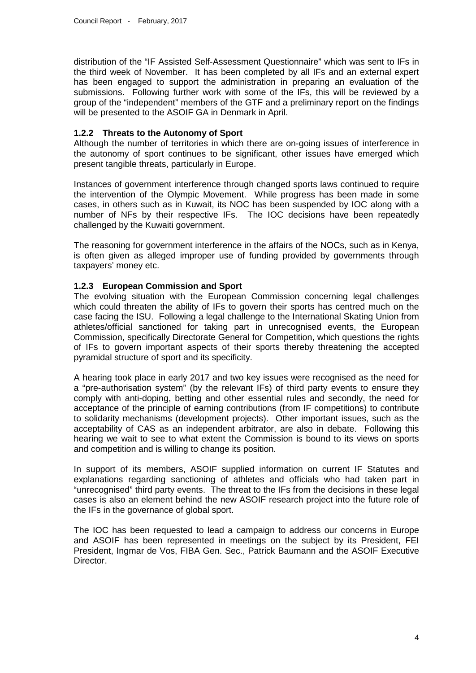distribution of the "IF Assisted Self-Assessment Questionnaire" which was sent to IFs in the third week of November. It has been completed by all IFs and an external expert has been engaged to support the administration in preparing an evaluation of the submissions. Following further work with some of the IFs, this will be reviewed by a group of the "independent" members of the GTF and a preliminary report on the findings will be presented to the ASOIF GA in Denmark in April.

#### **1.2.2 Threats to the Autonomy of Sport**

Although the number of territories in which there are on-going issues of interference in the autonomy of sport continues to be significant, other issues have emerged which present tangible threats, particularly in Europe.

Instances of government interference through changed sports laws continued to require the intervention of the Olympic Movement. While progress has been made in some cases, in others such as in Kuwait, its NOC has been suspended by IOC along with a number of NFs by their respective IFs. The IOC decisions have been repeatedly challenged by the Kuwaiti government.

The reasoning for government interference in the affairs of the NOCs, such as in Kenya, is often given as alleged improper use of funding provided by governments through taxpayers' money etc.

#### **1.2.3 European Commission and Sport**

The evolving situation with the European Commission concerning legal challenges which could threaten the ability of IFs to govern their sports has centred much on the case facing the ISU. Following a legal challenge to the International Skating Union from athletes/official sanctioned for taking part in unrecognised events, the European Commission, specifically Directorate General for Competition, which questions the rights of IFs to govern important aspects of their sports thereby threatening the accepted pyramidal structure of sport and its specificity.

A hearing took place in early 2017 and two key issues were recognised as the need for a "pre-authorisation system" (by the relevant IFs) of third party events to ensure they comply with anti-doping, betting and other essential rules and secondly, the need for acceptance of the principle of earning contributions (from IF competitions) to contribute to solidarity mechanisms (development projects). Other important issues, such as the acceptability of CAS as an independent arbitrator, are also in debate. Following this hearing we wait to see to what extent the Commission is bound to its views on sports and competition and is willing to change its position.

In support of its members, ASOIF supplied information on current IF Statutes and explanations regarding sanctioning of athletes and officials who had taken part in "unrecognised" third party events. The threat to the IFs from the decisions in these legal cases is also an element behind the new ASOIF research project into the future role of the IFs in the governance of global sport.

The IOC has been requested to lead a campaign to address our concerns in Europe and ASOIF has been represented in meetings on the subject by its President, FEI President, Ingmar de Vos, FIBA Gen. Sec., Patrick Baumann and the ASOIF Executive Director.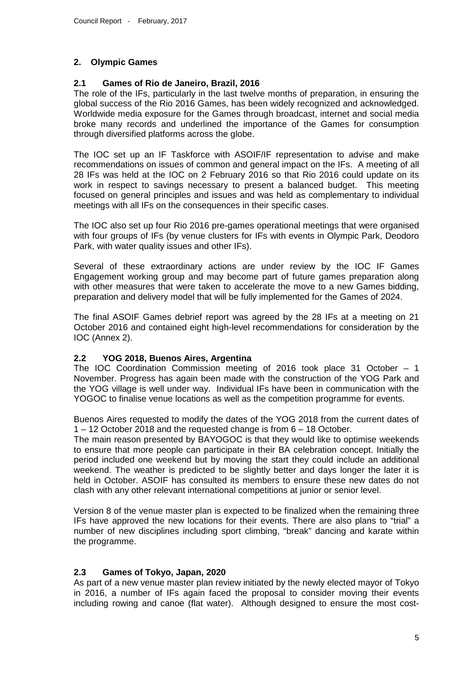### **2. Olympic Games**

#### **2.1 Games of Rio de Janeiro, Brazil, 2016**

The role of the IFs, particularly in the last twelve months of preparation, in ensuring the global success of the Rio 2016 Games, has been widely recognized and acknowledged. Worldwide media exposure for the Games through broadcast, internet and social media broke many records and underlined the importance of the Games for consumption through diversified platforms across the globe.

The IOC set up an IF Taskforce with ASOIF/IF representation to advise and make recommendations on issues of common and general impact on the IFs. A meeting of all 28 IFs was held at the IOC on 2 February 2016 so that Rio 2016 could update on its work in respect to savings necessary to present a balanced budget. This meeting focused on general principles and issues and was held as complementary to individual meetings with all IFs on the consequences in their specific cases.

The IOC also set up four Rio 2016 pre-games operational meetings that were organised with four groups of IFs (by venue clusters for IFs with events in Olympic Park, Deodoro Park, with water quality issues and other IFs).

Several of these extraordinary actions are under review by the IOC IF Games Engagement working group and may become part of future games preparation along with other measures that were taken to accelerate the move to a new Games bidding, preparation and delivery model that will be fully implemented for the Games of 2024.

The final ASOIF Games debrief report was agreed by the 28 IFs at a meeting on 21 October 2016 and contained eight high-level recommendations for consideration by the IOC (Annex 2).

#### **2.2 YOG 2018, Buenos Aires, Argentina**

The IOC Coordination Commission meeting of 2016 took place 31 October – 1 November. Progress has again been made with the construction of the YOG Park and the YOG village is well under way. Individual IFs have been in communication with the YOGOC to finalise venue locations as well as the competition programme for events.

Buenos Aires requested to modify the dates of the YOG 2018 from the current dates of 1 – 12 October 2018 and the requested change is from 6 – 18 October.

The main reason presented by BAYOGOC is that they would like to optimise weekends to ensure that more people can participate in their BA celebration concept. Initially the period included one weekend but by moving the start they could include an additional weekend. The weather is predicted to be slightly better and days longer the later it is held in October. ASOIF has consulted its members to ensure these new dates do not clash with any other relevant international competitions at junior or senior level.

Version 8 of the venue master plan is expected to be finalized when the remaining three IFs have approved the new locations for their events. There are also plans to "trial" a number of new disciplines including sport climbing, "break" dancing and karate within the programme.

#### **2.3 Games of Tokyo, Japan, 2020**

As part of a new venue master plan review initiated by the newly elected mayor of Tokyo in 2016, a number of IFs again faced the proposal to consider moving their events including rowing and canoe (flat water). Although designed to ensure the most cost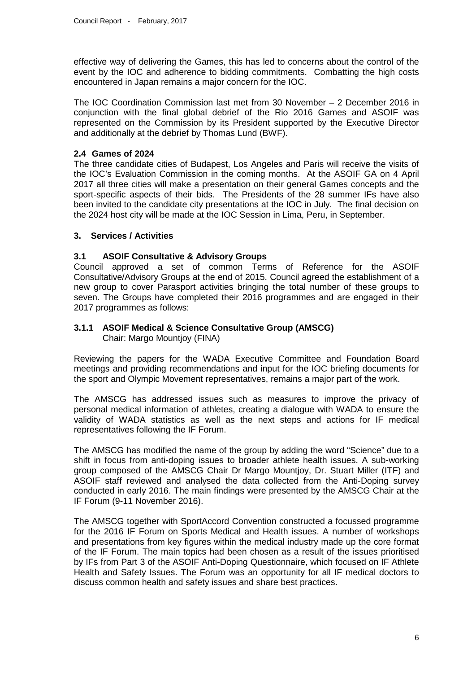effective way of delivering the Games, this has led to concerns about the control of the event by the IOC and adherence to bidding commitments. Combatting the high costs encountered in Japan remains a major concern for the IOC.

The IOC Coordination Commission last met from 30 November – 2 December 2016 in conjunction with the final global debrief of the Rio 2016 Games and ASOIF was represented on the Commission by its President supported by the Executive Director and additionally at the debrief by Thomas Lund (BWF).

### **2.4 Games of 2024**

The three candidate cities of Budapest, Los Angeles and Paris will receive the visits of the IOC's Evaluation Commission in the coming months. At the ASOIF GA on 4 April 2017 all three cities will make a presentation on their general Games concepts and the sport-specific aspects of their bids. The Presidents of the 28 summer IFs have also been invited to the candidate city presentations at the IOC in July. The final decision on the 2024 host city will be made at the IOC Session in Lima, Peru, in September.

#### **3. Services / Activities**

### **3.1 ASOIF Consultative & Advisory Groups**

Council approved a set of common Terms of Reference for the ASOIF Consultative/Advisory Groups at the end of 2015. Council agreed the establishment of a new group to cover Parasport activities bringing the total number of these groups to seven. The Groups have completed their 2016 programmes and are engaged in their 2017 programmes as follows:

#### **3.1.1 ASOIF Medical & Science Consultative Group (AMSCG)** Chair: Margo Mountjoy (FINA)

Reviewing the papers for the WADA Executive Committee and Foundation Board meetings and providing recommendations and input for the IOC briefing documents for the sport and Olympic Movement representatives, remains a major part of the work.

The AMSCG has addressed issues such as measures to improve the privacy of personal medical information of athletes, creating a dialogue with WADA to ensure the validity of WADA statistics as well as the next steps and actions for IF medical representatives following the IF Forum.

The AMSCG has modified the name of the group by adding the word "Science" due to a shift in focus from anti-doping issues to broader athlete health issues. A sub-working group composed of the AMSCG Chair Dr Margo Mountjoy, Dr. Stuart Miller (ITF) and ASOIF staff reviewed and analysed the data collected from the Anti-Doping survey conducted in early 2016. The main findings were presented by the AMSCG Chair at the IF Forum (9-11 November 2016).

The AMSCG together with SportAccord Convention constructed a focussed programme for the 2016 IF Forum on Sports Medical and Health issues. A number of workshops and presentations from key figures within the medical industry made up the core format of the IF Forum. The main topics had been chosen as a result of the issues prioritised by IFs from Part 3 of the ASOIF Anti-Doping Questionnaire, which focused on IF Athlete Health and Safety Issues. The Forum was an opportunity for all IF medical doctors to discuss common health and safety issues and share best practices.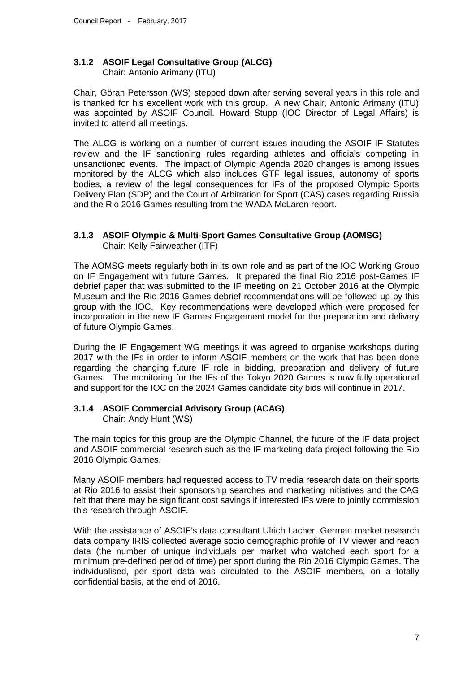#### **3.1.2 ASOIF Legal Consultative Group (ALCG)** Chair: Antonio Arimany (ITU)

Chair, Göran Petersson (WS) stepped down after serving several years in this role and is thanked for his excellent work with this group. A new Chair, Antonio Arimany (ITU) was appointed by ASOIF Council. Howard Stupp (IOC Director of Legal Affairs) is invited to attend all meetings.

The ALCG is working on a number of current issues including the ASOIF IF Statutes review and the IF sanctioning rules regarding athletes and officials competing in unsanctioned events. The impact of Olympic Agenda 2020 changes is among issues monitored by the ALCG which also includes GTF legal issues, autonomy of sports bodies, a review of the legal consequences for IFs of the proposed Olympic Sports Delivery Plan (SDP) and the Court of Arbitration for Sport (CAS) cases regarding Russia and the Rio 2016 Games resulting from the WADA McLaren report.

#### **3.1.3 ASOIF Olympic & Multi-Sport Games Consultative Group (AOMSG)** Chair: Kelly Fairweather (ITF)

The AOMSG meets regularly both in its own role and as part of the IOC Working Group on IF Engagement with future Games. It prepared the final Rio 2016 post-Games IF debrief paper that was submitted to the IF meeting on 21 October 2016 at the Olympic Museum and the Rio 2016 Games debrief recommendations will be followed up by this group with the IOC. Key recommendations were developed which were proposed for incorporation in the new IF Games Engagement model for the preparation and delivery of future Olympic Games.

During the IF Engagement WG meetings it was agreed to organise workshops during 2017 with the IFs in order to inform ASOIF members on the work that has been done regarding the changing future IF role in bidding, preparation and delivery of future Games. The monitoring for the IFs of the Tokyo 2020 Games is now fully operational and support for the IOC on the 2024 Games candidate city bids will continue in 2017.

#### **3.1.4 ASOIF Commercial Advisory Group (ACAG)**

Chair: Andy Hunt (WS)

The main topics for this group are the Olympic Channel, the future of the IF data project and ASOIF commercial research such as the IF marketing data project following the Rio 2016 Olympic Games.

Many ASOIF members had requested access to TV media research data on their sports at Rio 2016 to assist their sponsorship searches and marketing initiatives and the CAG felt that there may be significant cost savings if interested IFs were to jointly commission this research through ASOIF.

With the assistance of ASOIF's data consultant Ulrich Lacher, German market research data company IRIS collected average socio demographic profile of TV viewer and reach data (the number of unique individuals per market who watched each sport for a minimum pre-defined period of time) per sport during the Rio 2016 Olympic Games. The individualised, per sport data was circulated to the ASOIF members, on a totally confidential basis, at the end of 2016.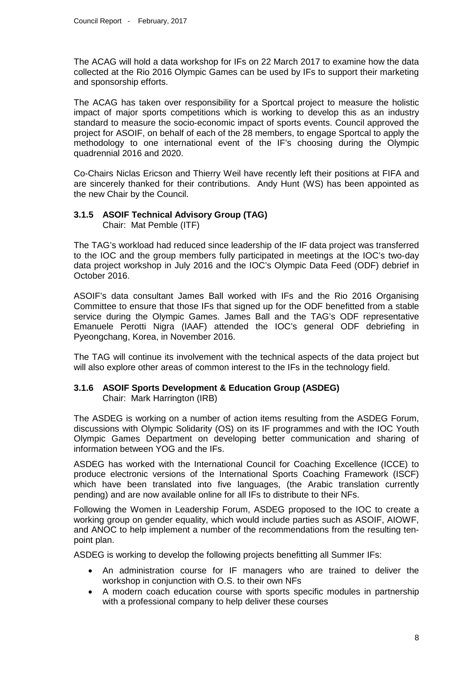The ACAG will hold a data workshop for IFs on 22 March 2017 to examine how the data collected at the Rio 2016 Olympic Games can be used by IFs to support their marketing and sponsorship efforts.

The ACAG has taken over responsibility for a Sportcal project to measure the holistic impact of major sports competitions which is working to develop this as an industry standard to measure the socio-economic impact of sports events. Council approved the project for ASOIF, on behalf of each of the 28 members, to engage Sportcal to apply the methodology to one international event of the IF's choosing during the Olympic quadrennial 2016 and 2020.

Co-Chairs Niclas Ericson and Thierry Weil have recently left their positions at FIFA and are sincerely thanked for their contributions. Andy Hunt (WS) has been appointed as the new Chair by the Council.

#### **3.1.5 ASOIF Technical Advisory Group (TAG)** Chair: Mat Pemble (ITF)

The TAG's workload had reduced since leadership of the IF data project was transferred to the IOC and the group members fully participated in meetings at the IOC's two-day data project workshop in July 2016 and the IOC's Olympic Data Feed (ODF) debrief in October 2016.

ASOIF's data consultant James Ball worked with IFs and the Rio 2016 Organising Committee to ensure that those IFs that signed up for the ODF benefitted from a stable service during the Olympic Games. James Ball and the TAG's ODF representative Emanuele Perotti Nigra (IAAF) attended the IOC's general ODF debriefing in Pyeongchang, Korea, in November 2016.

The TAG will continue its involvement with the technical aspects of the data project but will also explore other areas of common interest to the IFs in the technology field.

## **3.1.6 ASOIF Sports Development & Education Group (ASDEG)**

Chair: Mark Harrington (IRB)

The ASDEG is working on a number of action items resulting from the ASDEG Forum, discussions with Olympic Solidarity (OS) on its IF programmes and with the IOC Youth Olympic Games Department on developing better communication and sharing of information between YOG and the IFs.

ASDEG has worked with the International Council for Coaching Excellence (ICCE) to produce electronic versions of the International Sports Coaching Framework (ISCF) which have been translated into five languages, (the Arabic translation currently pending) and are now available online for all IFs to distribute to their NFs.

Following the Women in Leadership Forum, ASDEG proposed to the IOC to create a working group on gender equality, which would include parties such as ASOIF, AIOWF, and ANOC to help implement a number of the recommendations from the resulting tenpoint plan.

ASDEG is working to develop the following projects benefitting all Summer IFs:

- An administration course for IF managers who are trained to deliver the workshop in conjunction with O.S. to their own NFs
- A modern coach education course with sports specific modules in partnership with a professional company to help deliver these courses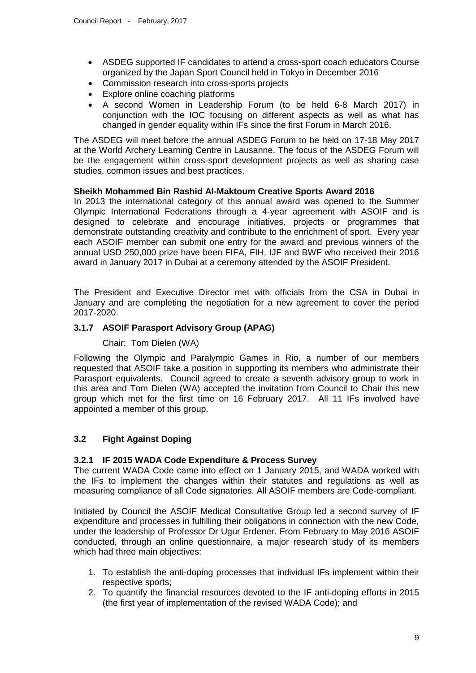- ASDEG supported IF candidates to attend a cross-sport coach educators Course organized by the Japan Sport Council held in Tokyo in December 2016
- Commission research into cross-sports projects
- Explore online coaching platforms
- A second Women in Leadership Forum (to be held 6-8 March 2017) in conjunction with the IOC focusing on different aspects as well as what has changed in gender equality within IFs since the first Forum in March 2016.

The ASDEG will meet before the annual ASDEG Forum to be held on 17-18 May 2017 at the World Archery Learning Centre in Lausanne. The focus of the ASDEG Forum will be the engagement within cross-sport development projects as well as sharing case studies, common issues and best practices.

#### **Sheikh Mohammed Bin Rashid Al-Maktoum Creative Sports Award 2016**

In 2013 the international category of this annual award was opened to the Summer Olympic International Federations through a 4-year agreement with ASOIF and is designed to celebrate and encourage initiatives, projects or programmes that demonstrate outstanding creativity and contribute to the enrichment of sport. Every year each ASOIF member can submit one entry for the award and previous winners of the annual USD 250,000 prize have been FIFA, FIH, IJF and BWF who received their 2016 award in January 2017 in Dubai at a ceremony attended by the ASOIF President.

The President and Executive Director met with officials from the CSA in Dubai in January and are completing the negotiation for a new agreement to cover the period 2017-2020.

### **3.1.7 ASOIF Parasport Advisory Group (APAG)**

#### Chair: Tom Dielen (WA)

Following the Olympic and Paralympic Games in Rio, a number of our members requested that ASOIF take a position in supporting its members who administrate their Parasport equivalents. Council agreed to create a seventh advisory group to work in this area and Tom Dielen (WA) accepted the invitation from Council to Chair this new group which met for the first time on 16 February 2017. All 11 IFs involved have appointed a member of this group.

## **3.2 Fight Against Doping**

#### **3.2.1 IF 2015 WADA Code Expenditure & Process Survey**

The current WADA Code came into effect on 1 January 2015, and WADA worked with the IFs to implement the changes within their statutes and regulations as well as measuring compliance of all Code signatories. All ASOIF members are Code-compliant.

Initiated by Council the ASOIF Medical Consultative Group led a second survey of IF expenditure and processes in fulfilling their obligations in connection with the new Code, under the leadership of Professor Dr Ugur Erdener. From February to May 2016 ASOIF conducted, through an online questionnaire, a major research study of its members which had three main objectives:

- 1. To establish the anti-doping processes that individual IFs implement within their respective sports;
- 2. To quantify the financial resources devoted to the IF anti-doping efforts in 2015 (the first year of implementation of the revised WADA Code); and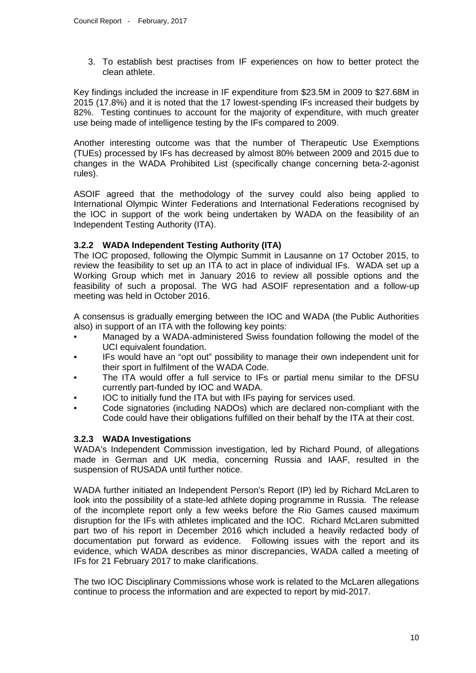3. To establish best practises from IF experiences on how to better protect the clean athlete.

Key findings included the increase in IF expenditure from \$23.5M in 2009 to \$27.68M in 2015 (17.8%) and it is noted that the 17 lowest-spending IFs increased their budgets by 82%. Testing continues to account for the majority of expenditure, with much greater use being made of intelligence testing by the IFs compared to 2009.

Another interesting outcome was that the number of Therapeutic Use Exemptions (TUEs) processed by IFs has decreased by almost 80% between 2009 and 2015 due to changes in the WADA Prohibited List (specifically change concerning beta-2-agonist rules).

ASOIF agreed that the methodology of the survey could also being applied to International Olympic Winter Federations and International Federations recognised by the IOC in support of the work being undertaken by WADA on the feasibility of an Independent Testing Authority (ITA).

#### **3.2.2 WADA Independent Testing Authority (ITA)**

The IOC proposed, following the Olympic Summit in Lausanne on 17 October 2015, to review the feasibility to set up an ITA to act in place of individual IFs. WADA set up a Working Group which met in January 2016 to review all possible options and the feasibility of such a proposal. The WG had ASOIF representation and a follow-up meeting was held in October 2016.

A consensus is gradually emerging between the IOC and WADA (the Public Authorities also) in support of an ITA with the following key points:

- Managed by a WADA-administered Swiss foundation following the model of the UCI equivalent foundation.
- IFs would have an "opt out" possibility to manage their own independent unit for their sport in fulfilment of the WADA Code.
- The ITA would offer a full service to IFs or partial menu similar to the DFSU currently part-funded by IOC and WADA.
- IOC to initially fund the ITA but with IFs paying for services used.
- Code signatories (including NADOs) which are declared non-compliant with the Code could have their obligations fulfilled on their behalf by the ITA at their cost.

#### **3.2.3 WADA Investigations**

WADA's Independent Commission investigation, led by Richard Pound, of allegations made in German and UK media, concerning Russia and IAAF, resulted in the suspension of RUSADA until further notice.

WADA further initiated an Independent Person's Report (IP) led by Richard McLaren to look into the possibility of a state-led athlete doping programme in Russia. The release of the incomplete report only a few weeks before the Rio Games caused maximum disruption for the IFs with athletes implicated and the IOC. Richard McLaren submitted part two of his report in December 2016 which included a heavily redacted body of documentation put forward as evidence. Following issues with the report and its evidence, which WADA describes as minor discrepancies, WADA called a meeting of IFs for 21 February 2017 to make clarifications.

The two IOC Disciplinary Commissions whose work is related to the McLaren allegations continue to process the information and are expected to report by mid-2017.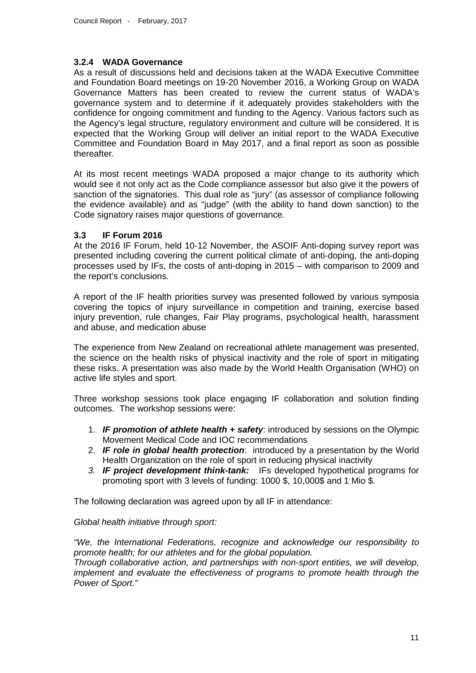#### **3.2.4 WADA Governance**

As a result of discussions held and decisions taken at the WADA Executive Committee and Foundation Board meetings on 19-20 November 2016, a Working Group on WADA Governance Matters has been created to review the current status of WADA's governance system and to determine if it adequately provides stakeholders with the confidence for ongoing commitment and funding to the Agency. Various factors such as the Agency's legal structure, regulatory environment and culture will be considered. It is expected that the Working Group will deliver an initial report to the WADA Executive Committee and Foundation Board in May 2017, and a final report as soon as possible thereafter.

At its most recent meetings WADA proposed a major change to its authority which would see it not only act as the Code compliance assessor but also give it the powers of sanction of the signatories. This dual role as "jury" (as assessor of compliance following the evidence available) and as "judge" (with the ability to hand down sanction) to the Code signatory raises major questions of governance.

#### **3.3 IF Forum 2016**

At the 2016 IF Forum, held 10-12 November, the ASOIF Anti-doping survey report was presented including covering the current political climate of anti-doping, the anti-doping processes used by IFs, the costs of anti-doping in 2015 – with comparison to 2009 and the report's conclusions.

A report of the IF health priorities survey was presented followed by various symposia covering the topics of injury surveillance in competition and training, exercise based injury prevention, rule changes, Fair Play programs, psychological health, harassment and abuse, and medication abuse

The experience from New Zealand on recreational athlete management was presented, the science on the health risks of physical inactivity and the role of sport in mitigating these risks. A presentation was also made by the World Health Organisation (WHO) on active life styles and sport.

Three workshop sessions took place engaging IF collaboration and solution finding outcomes. The workshop sessions were:

- 1. *IF promotion of athlete health + safety*: introduced by sessions on the Olympic Movement Medical Code and IOC recommendations
- 2. *IF role in global health protection*: introduced by a presentation by the World Health Organization on the role of sport in reducing physical inactivity
- *3. IF project development think-tank:* IFs developed hypothetical programs for promoting sport with 3 levels of funding: 1000 \$, 10,000\$ and 1 Mio \$.

The following declaration was agreed upon by all IF in attendance:

*Global health initiative through sport:*

*"We, the International Federations, recognize and acknowledge our responsibility to promote health; for our athletes and for the global population.* 

*Through collaborative action, and partnerships with non-sport entities, we will develop, implement and evaluate the effectiveness of programs to promote health through the Power of Sport."*